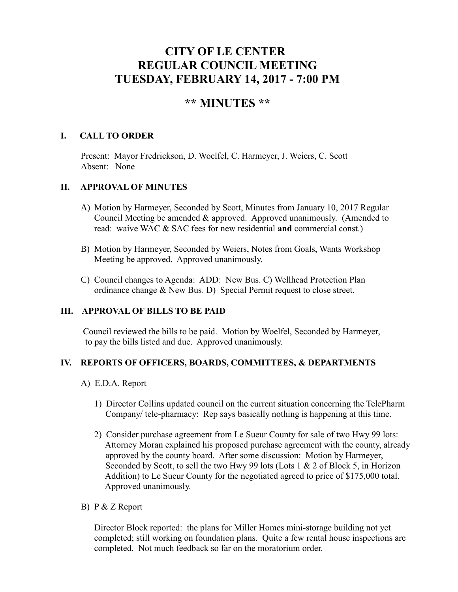# **CITY OF LE CENTER REGULAR COUNCIL MEETING TUESDAY, FEBRUARY 14, 2017 - 7:00 PM**

# **\*\* MINUTES \*\***

# **I. CALL TO ORDER**

Present: Mayor Fredrickson, D. Woelfel, C. Harmeyer, J. Weiers, C. Scott Absent: None

# **II. APPROVAL OF MINUTES**

- A) Motion by Harmeyer, Seconded by Scott, Minutes from January 10, 2017 Regular Council Meeting be amended & approved. Approved unanimously. (Amended to read: waive WAC & SAC fees for new residential **and** commercial const.)
- B) Motion by Harmeyer, Seconded by Weiers, Notes from Goals, Wants Workshop Meeting be approved. Approved unanimously.
- C) Council changes to Agenda: ADD: New Bus. C) Wellhead Protection Plan ordinance change & New Bus. D) Special Permit request to close street.

# **III. APPROVAL OF BILLS TO BE PAID**

Council reviewed the bills to be paid. Motion by Woelfel, Seconded by Harmeyer, to pay the bills listed and due. Approved unanimously.

# **IV. REPORTS OF OFFICERS, BOARDS, COMMITTEES, & DEPARTMENTS**

- A) E.D.A. Report
	- 1) Director Collins updated council on the current situation concerning the TelePharm Company/ tele-pharmacy: Rep says basically nothing is happening at this time.
	- 2) Consider purchase agreement from Le Sueur County for sale of two Hwy 99 lots: Attorney Moran explained his proposed purchase agreement with the county, already approved by the county board. After some discussion: Motion by Harmeyer, Seconded by Scott, to sell the two Hwy 99 lots (Lots 1 & 2 of Block 5, in Horizon Addition) to Le Sueur County for the negotiated agreed to price of \$175,000 total. Approved unanimously.
- B) P & Z Report

 Director Block reported: the plans for Miller Homes mini-storage building not yet completed; still working on foundation plans. Quite a few rental house inspections are completed. Not much feedback so far on the moratorium order.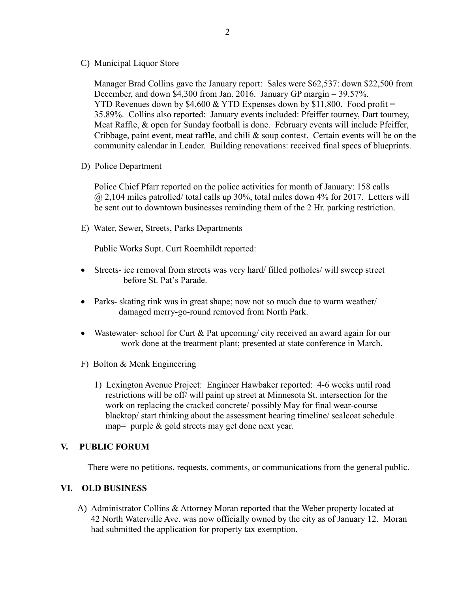C) Municipal Liquor Store

Manager Brad Collins gave the January report: Sales were \$62,537: down \$22,500 from December, and down \$4,300 from Jan. 2016. January GP margin = 39.57%. YTD Revenues down by \$4,600 & YTD Expenses down by \$11,800. Food profit = 35.89%. Collins also reported: January events included: Pfeiffer tourney, Dart tourney, Meat Raffle, & open for Sunday football is done. February events will include Pfeiffer, Cribbage, paint event, meat raffle, and chili  $\&$  soup contest. Certain events will be on the community calendar in Leader. Building renovations: received final specs of blueprints.

D) Police Department

Police Chief Pfarr reported on the police activities for month of January: 158 calls  $@$  2,104 miles patrolled/ total calls up 30%, total miles down 4% for 2017. Letters will be sent out to downtown businesses reminding them of the 2 Hr. parking restriction.

E) Water, Sewer, Streets, Parks Departments

Public Works Supt. Curt Roemhildt reported:

- Streets- ice removal from streets was very hard/ filled potholes/ will sweep street before St. Pat's Parade.
- Parks- skating rink was in great shape; now not so much due to warm weather/ damaged merry-go-round removed from North Park.
- Wastewater- school for Curt & Pat upcoming/ city received an award again for our work done at the treatment plant; presented at state conference in March.
- F) Bolton & Menk Engineering
	- 1) Lexington Avenue Project: Engineer Hawbaker reported: 4-6 weeks until road restrictions will be off/ will paint up street at Minnesota St. intersection for the work on replacing the cracked concrete/ possibly May for final wear-course blacktop/ start thinking about the assessment hearing timeline/ sealcoat schedule map= purple & gold streets may get done next year.

#### **V. PUBLIC FORUM**

There were no petitions, requests, comments, or communications from the general public.

#### **VI. OLD BUSINESS**

A) Administrator Collins & Attorney Moran reported that the Weber property located at 42 North Waterville Ave. was now officially owned by the city as of January 12. Moran had submitted the application for property tax exemption.